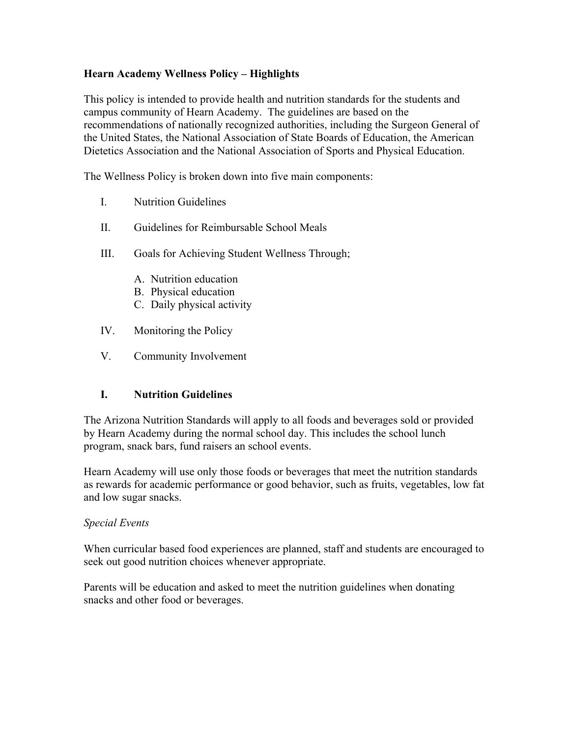### **Hearn Academy Wellness Policy – Highlights**

This policy is intended to provide health and nutrition standards for the students and campus community of Hearn Academy. The guidelines are based on the recommendations of nationally recognized authorities, including the Surgeon General of the United States, the National Association of State Boards of Education, the American Dietetics Association and the National Association of Sports and Physical Education.

The Wellness Policy is broken down into five main components:

- I. Nutrition Guidelines
- II. Guidelines for Reimbursable School Meals
- III. Goals for Achieving Student Wellness Through;
	- A. Nutrition education
	- B. Physical education
	- C. Daily physical activity
- IV. Monitoring the Policy
- V. Community Involvement

#### **I. Nutrition Guidelines**

The Arizona Nutrition Standards will apply to all foods and beverages sold or provided by Hearn Academy during the normal school day. This includes the school lunch program, snack bars, fund raisers an school events.

Hearn Academy will use only those foods or beverages that meet the nutrition standards as rewards for academic performance or good behavior, such as fruits, vegetables, low fat and low sugar snacks.

#### *Special Events*

When curricular based food experiences are planned, staff and students are encouraged to seek out good nutrition choices whenever appropriate.

Parents will be education and asked to meet the nutrition guidelines when donating snacks and other food or beverages.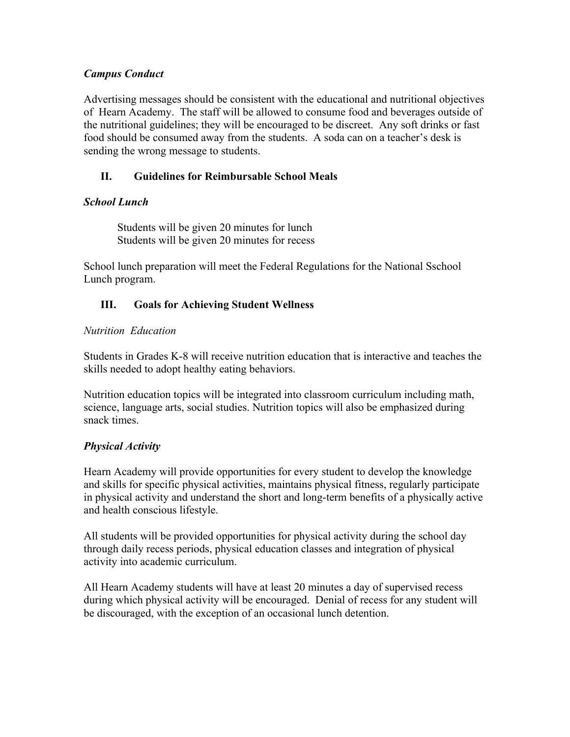### *Campus Conduct*

Advertising messages should be consistent with the educational and nutritional objectives of Hearn Academy. The staff will be allowed to consume food and beverages outside of the nutritional guidelines; they will be encouraged to be discreet. Any soft drinks or fast food should be consumed away from the students. A soda can on a teacher's desk is sending the wrong message to students.

# **II. Guidelines for Reimbursable School Meals**

## *School Lunch*

Students will be given 20 minutes for lunch Students will be given 20 minutes for recess

School lunch preparation will meet the Federal Regulations for the National Sschool Lunch program.

## **III. Goals for Achieving Student Wellness**

#### *Nutrition Education*

Students in Grades K-8 will receive nutrition education that is interactive and teaches the skills needed to adopt healthy eating behaviors.

Nutrition education topics will be integrated into classroom curriculum including math, science, language arts, social studies. Nutrition topics will also be emphasized during snack times.

# *Physical Activity*

Hearn Academy will provide opportunities for every student to develop the knowledge and skills for specific physical activities, maintains physical fitness, regularly participate in physical activity and understand the short and long-term benefits of a physically active and health conscious lifestyle.

All students will be provided opportunities for physical activity during the school day through daily recess periods, physical education classes and integration of physical activity into academic curriculum.

All Hearn Academy students will have at least 20 minutes a day of supervised recess during which physical activity will be encouraged. Denial of recess for any student will be discouraged, with the exception of an occasional lunch detention.